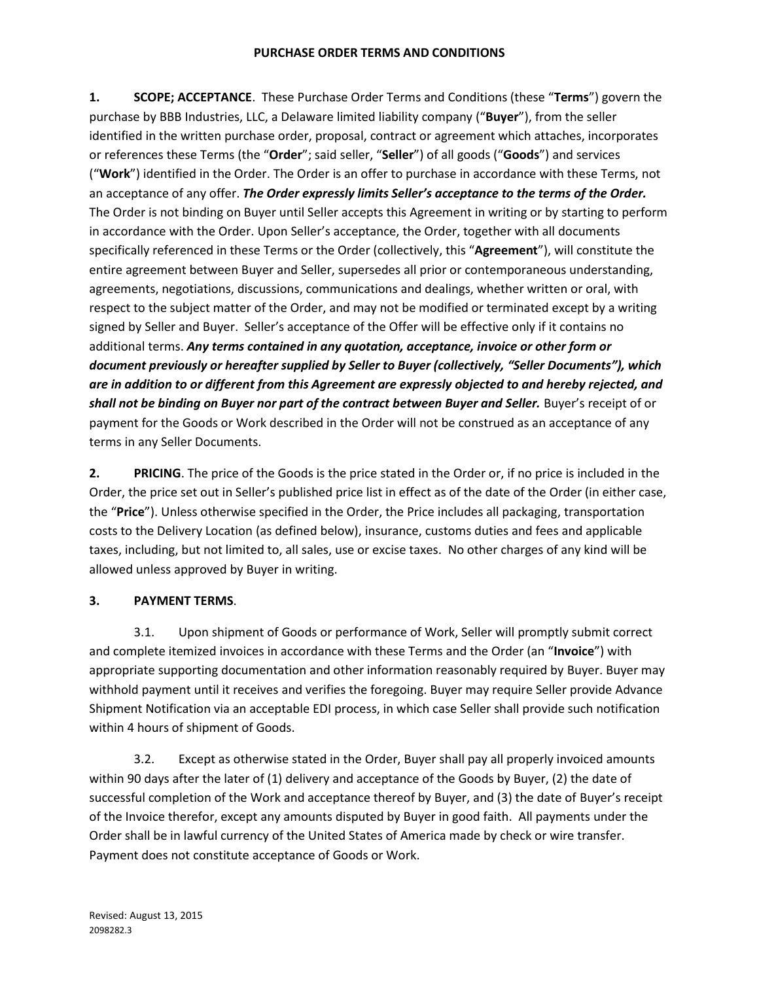### **PURCHASE ORDER TERMS AND CONDITIONS**

**1. SCOPE; ACCEPTANCE**. These Purchase Order Terms and Conditions (these "**Terms**") govern the purchase by BBB Industries, LLC, a Delaware limited liability company ("**Buyer**"), from the seller identified in the written purchase order, proposal, contract or agreement which attaches, incorporates or references these Terms (the "**Order**"; said seller, "**Seller**") of all goods ("**Goods**") and services ("**Work**") identified in the Order. The Order is an offer to purchase in accordance with these Terms, not an acceptance of any offer. *The Order expressly limits Seller's acceptance to the terms of the Order.* The Order is not binding on Buyer until Seller accepts this Agreement in writing or by starting to perform in accordance with the Order. Upon Seller's acceptance, the Order, together with all documents specifically referenced in these Terms or the Order (collectively, this "**Agreement**"), will constitute the entire agreement between Buyer and Seller, supersedes all prior or contemporaneous understanding, agreements, negotiations, discussions, communications and dealings, whether written or oral, with respect to the subject matter of the Order, and may not be modified or terminated except by a writing signed by Seller and Buyer. Seller's acceptance of the Offer will be effective only if it contains no additional terms. *Any terms contained in any quotation, acceptance, invoice or other form or document previously or hereafter supplied by Seller to Buyer (collectively, "Seller Documents"), which are in addition to or different from this Agreement are expressly objected to and hereby rejected, and shall not be binding on Buyer nor part of the contract between Buyer and Seller.* Buyer's receipt of or payment for the Goods or Work described in the Order will not be construed as an acceptance of any terms in any Seller Documents.

**2. PRICING**. The price of the Goods is the price stated in the Order or, if no price is included in the Order, the price set out in Seller's published price list in effect as of the date of the Order (in either case, the "**Price**"). Unless otherwise specified in the Order, the Price includes all packaging, transportation costs to the Delivery Location (as defined below), insurance, customs duties and fees and applicable taxes, including, but not limited to, all sales, use or excise taxes. No other charges of any kind will be allowed unless approved by Buyer in writing.

# **3. PAYMENT TERMS**.

3.1. Upon shipment of Goods or performance of Work, Seller will promptly submit correct and complete itemized invoices in accordance with these Terms and the Order (an "**Invoice**") with appropriate supporting documentation and other information reasonably required by Buyer. Buyer may withhold payment until it receives and verifies the foregoing. Buyer may require Seller provide Advance Shipment Notification via an acceptable EDI process, in which case Seller shall provide such notification within 4 hours of shipment of Goods.

3.2. Except as otherwise stated in the Order, Buyer shall pay all properly invoiced amounts within 90 days after the later of (1) delivery and acceptance of the Goods by Buyer, (2) the date of successful completion of the Work and acceptance thereof by Buyer, and (3) the date of Buyer's receipt of the Invoice therefor, except any amounts disputed by Buyer in good faith. All payments under the Order shall be in lawful currency of the United States of America made by check or wire transfer. Payment does not constitute acceptance of Goods or Work.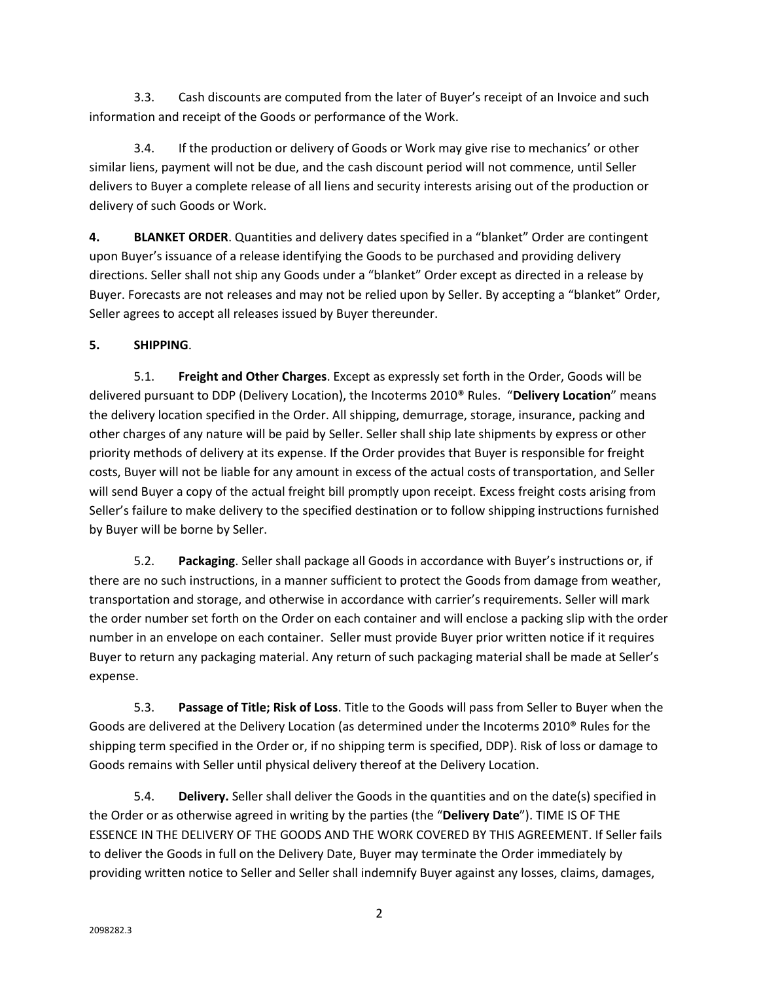3.3. Cash discounts are computed from the later of Buyer's receipt of an Invoice and such information and receipt of the Goods or performance of the Work.

3.4. If the production or delivery of Goods or Work may give rise to mechanics' or other similar liens, payment will not be due, and the cash discount period will not commence, until Seller delivers to Buyer a complete release of all liens and security interests arising out of the production or delivery of such Goods or Work.

**4. BLANKET ORDER**. Quantities and delivery dates specified in a "blanket" Order are contingent upon Buyer's issuance of a release identifying the Goods to be purchased and providing delivery directions. Seller shall not ship any Goods under a "blanket" Order except as directed in a release by Buyer. Forecasts are not releases and may not be relied upon by Seller. By accepting a "blanket" Order, Seller agrees to accept all releases issued by Buyer thereunder.

# **5. SHIPPING**.

5.1. **Freight and Other Charges**. Except as expressly set forth in the Order, Goods will be delivered pursuant to DDP (Delivery Location), the Incoterms 2010® Rules. "**Delivery Location**" means the delivery location specified in the Order. All shipping, demurrage, storage, insurance, packing and other charges of any nature will be paid by Seller. Seller shall ship late shipments by express or other priority methods of delivery at its expense. If the Order provides that Buyer is responsible for freight costs, Buyer will not be liable for any amount in excess of the actual costs of transportation, and Seller will send Buyer a copy of the actual freight bill promptly upon receipt. Excess freight costs arising from Seller's failure to make delivery to the specified destination or to follow shipping instructions furnished by Buyer will be borne by Seller.

5.2. **Packaging**. Seller shall package all Goods in accordance with Buyer's instructions or, if there are no such instructions, in a manner sufficient to protect the Goods from damage from weather, transportation and storage, and otherwise in accordance with carrier's requirements. Seller will mark the order number set forth on the Order on each container and will enclose a packing slip with the order number in an envelope on each container. Seller must provide Buyer prior written notice if it requires Buyer to return any packaging material. Any return of such packaging material shall be made at Seller's expense.

5.3. **Passage of Title; Risk of Loss**. Title to the Goods will pass from Seller to Buyer when the Goods are delivered at the Delivery Location (as determined under the Incoterms 2010® Rules for the shipping term specified in the Order or, if no shipping term is specified, DDP). Risk of loss or damage to Goods remains with Seller until physical delivery thereof at the Delivery Location.

5.4. **Delivery.** Seller shall deliver the Goods in the quantities and on the date(s) specified in the Order or as otherwise agreed in writing by the parties (the "**Delivery Date**"). TIME IS OF THE ESSENCE IN THE DELIVERY OF THE GOODS AND THE WORK COVERED BY THIS AGREEMENT. If Seller fails to deliver the Goods in full on the Delivery Date, Buyer may terminate the Order immediately by providing written notice to Seller and Seller shall indemnify Buyer against any losses, claims, damages,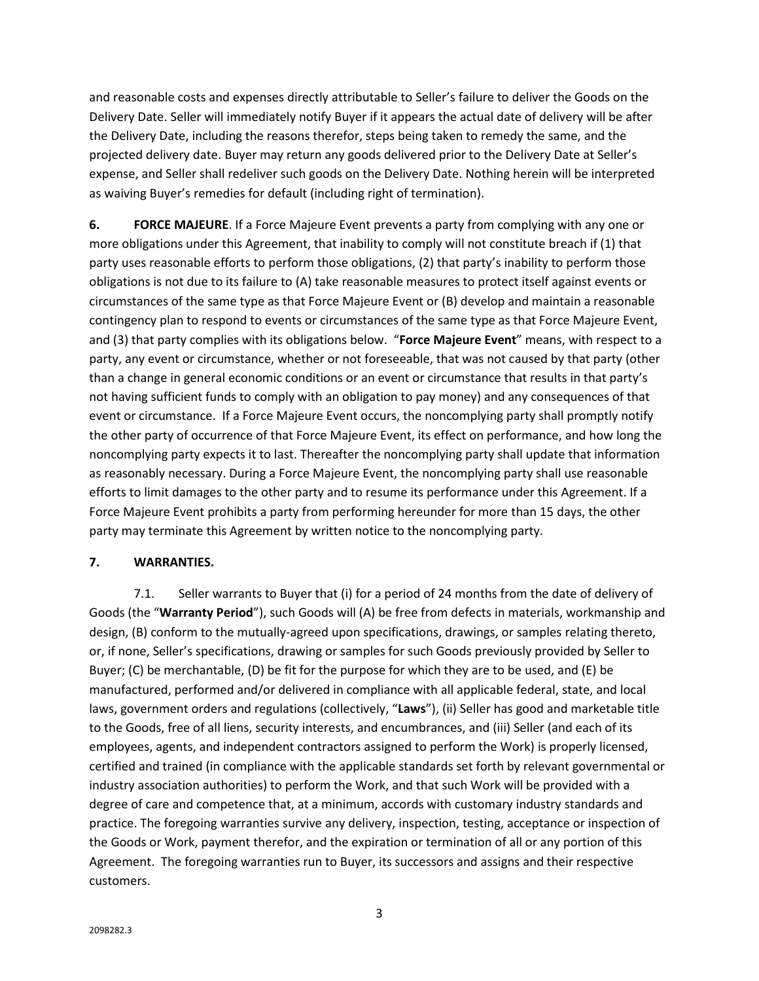and reasonable costs and expenses directly attributable to Seller's failure to deliver the Goods on the Delivery Date. Seller will immediately notify Buyer if it appears the actual date of delivery will be after the Delivery Date, including the reasons therefor, steps being taken to remedy the same, and the projected delivery date. Buyer may return any goods delivered prior to the Delivery Date at Seller's expense, and Seller shall redeliver such goods on the Delivery Date. Nothing herein will be interpreted as waiving Buyer's remedies for default (including right of termination).

**6. FORCE MAJEURE**. If a Force Majeure Event prevents a party from complying with any one or more obligations under this Agreement, that inability to comply will not constitute breach if (1) that party uses reasonable efforts to perform those obligations, (2) that party's inability to perform those obligations is not due to its failure to (A) take reasonable measures to protect itself against events or circumstances of the same type as that Force Majeure Event or (B) develop and maintain a reasonable contingency plan to respond to events or circumstances of the same type as that Force Majeure Event, and (3) that party complies with its obligations below. "**Force Majeure Event**" means, with respect to a party, any event or circumstance, whether or not foreseeable, that was not caused by that party (other than a change in general economic conditions or an event or circumstance that results in that party's not having sufficient funds to comply with an obligation to pay money) and any consequences of that event or circumstance. If a Force Majeure Event occurs, the noncomplying party shall promptly notify the other party of occurrence of that Force Majeure Event, its effect on performance, and how long the noncomplying party expects it to last. Thereafter the noncomplying party shall update that information as reasonably necessary. During a Force Majeure Event, the noncomplying party shall use reasonable efforts to limit damages to the other party and to resume its performance under this Agreement. If a Force Majeure Event prohibits a party from performing hereunder for more than 15 days, the other party may terminate this Agreement by written notice to the noncomplying party.

#### <span id="page-2-0"></span>**7. WARRANTIES.**

7.1. Seller warrants to Buyer that (i) for a period of 24 months from the date of delivery of Goods (the "**Warranty Period**"), such Goods will (A) be free from defects in materials, workmanship and design, (B) conform to the mutually-agreed upon specifications, drawings, or samples relating thereto, or, if none, Seller's specifications, drawing or samples for such Goods previously provided by Seller to Buyer; (C) be merchantable, (D) be fit for the purpose for which they are to be used, and (E) be manufactured, performed and/or delivered in compliance with all applicable federal, state, and local laws, government orders and regulations (collectively, "**Laws**"), (ii) Seller has good and marketable title to the Goods, free of all liens, security interests, and encumbrances, and (iii) Seller (and each of its employees, agents, and independent contractors assigned to perform the Work) is properly licensed, certified and trained (in compliance with the applicable standards set forth by relevant governmental or industry association authorities) to perform the Work, and that such Work will be provided with a degree of care and competence that, at a minimum, accords with customary industry standards and practice. The foregoing warranties survive any delivery, inspection, testing, acceptance or inspection of the Goods or Work, payment therefor, and the expiration or termination of all or any portion of this Agreement. The foregoing warranties run to Buyer, its successors and assigns and their respective customers.

3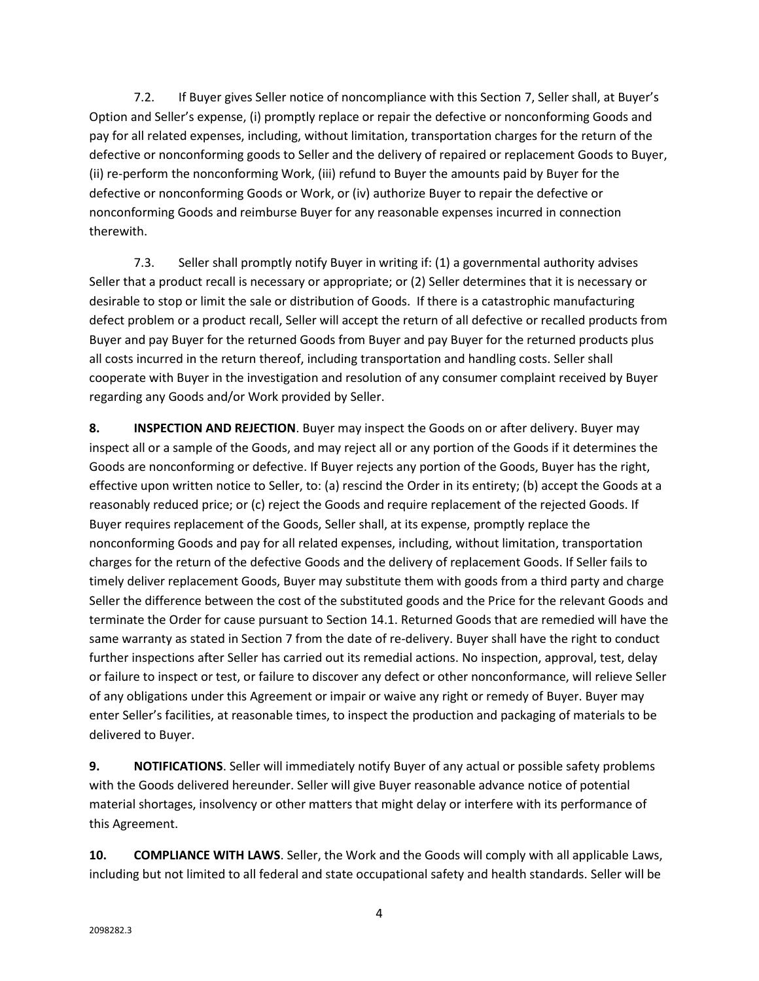7.2. If Buyer gives Seller notice of noncompliance with this Section [7,](#page-2-0) Seller shall, at Buyer's Option and Seller's expense, (i) promptly replace or repair the defective or nonconforming Goods and pay for all related expenses, including, without limitation, transportation charges for the return of the defective or nonconforming goods to Seller and the delivery of repaired or replacement Goods to Buyer, (ii) re-perform the nonconforming Work, (iii) refund to Buyer the amounts paid by Buyer for the defective or nonconforming Goods or Work, or (iv) authorize Buyer to repair the defective or nonconforming Goods and reimburse Buyer for any reasonable expenses incurred in connection therewith.

7.3. Seller shall promptly notify Buyer in writing if: (1) a governmental authority advises Seller that a product recall is necessary or appropriate; or (2) Seller determines that it is necessary or desirable to stop or limit the sale or distribution of Goods. If there is a catastrophic manufacturing defect problem or a product recall, Seller will accept the return of all defective or recalled products from Buyer and pay Buyer for the returned Goods from Buyer and pay Buyer for the returned products plus all costs incurred in the return thereof, including transportation and handling costs. Seller shall cooperate with Buyer in the investigation and resolution of any consumer complaint received by Buyer regarding any Goods and/or Work provided by Seller.

**8. INSPECTION AND REJECTION**. Buyer may inspect the Goods on or after delivery. Buyer may inspect all or a sample of the Goods, and may reject all or any portion of the Goods if it determines the Goods are nonconforming or defective. If Buyer rejects any portion of the Goods, Buyer has the right, effective upon written notice to Seller, to: (a) rescind the Order in its entirety; (b) accept the Goods at a reasonably reduced price; or (c) reject the Goods and require replacement of the rejected Goods. If Buyer requires replacement of the Goods, Seller shall, at its expense, promptly replace the nonconforming Goods and pay for all related expenses, including, without limitation, transportation charges for the return of the defective Goods and the delivery of replacement Goods. If Seller fails to timely deliver replacement Goods, Buyer may substitute them with goods from a third party and charge Seller the difference between the cost of the substituted goods and the Price for the relevant Goods and terminate the Order for cause pursuant to Sectio[n 14.1.](#page-5-0) Returned Goods that are remedied will have the same warranty as stated in Section [7](#page-2-0) from the date of re-delivery. Buyer shall have the right to conduct further inspections after Seller has carried out its remedial actions. No inspection, approval, test, delay or failure to inspect or test, or failure to discover any defect or other nonconformance, will relieve Seller of any obligations under this Agreement or impair or waive any right or remedy of Buyer. Buyer may enter Seller's facilities, at reasonable times, to inspect the production and packaging of materials to be delivered to Buyer.

**9. NOTIFICATIONS**. Seller will immediately notify Buyer of any actual or possible safety problems with the Goods delivered hereunder. Seller will give Buyer reasonable advance notice of potential material shortages, insolvency or other matters that might delay or interfere with its performance of this Agreement.

**10. COMPLIANCE WITH LAWS**. Seller, the Work and the Goods will comply with all applicable Laws, including but not limited to all federal and state occupational safety and health standards. Seller will be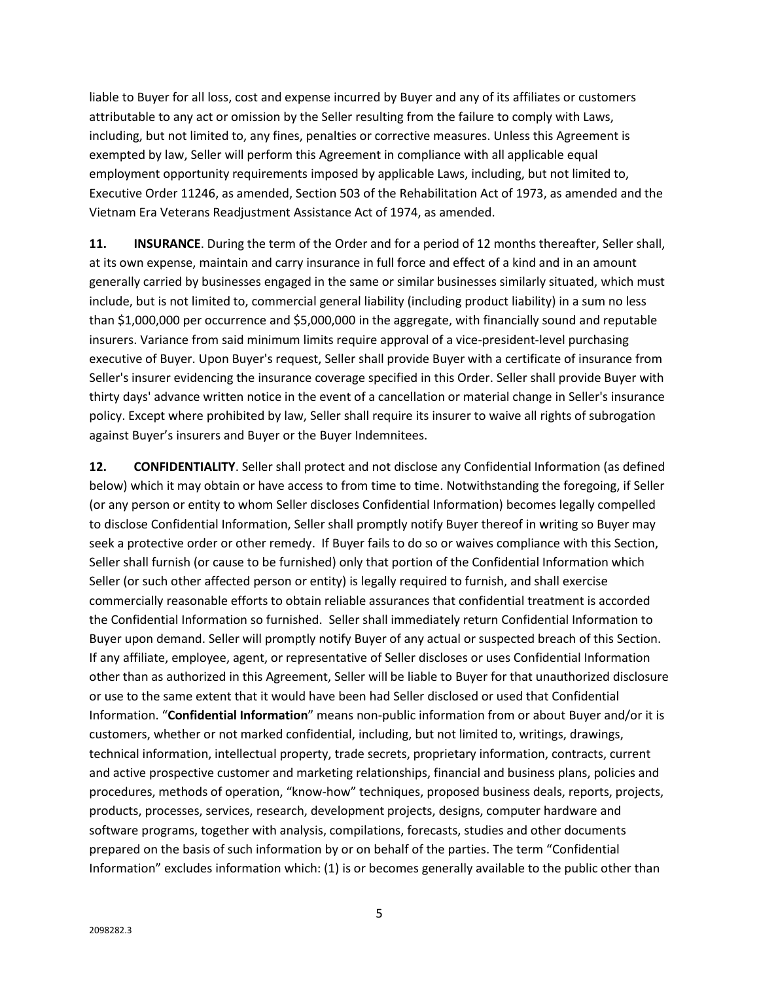liable to Buyer for all loss, cost and expense incurred by Buyer and any of its affiliates or customers attributable to any act or omission by the Seller resulting from the failure to comply with Laws, including, but not limited to, any fines, penalties or corrective measures. Unless this Agreement is exempted by law, Seller will perform this Agreement in compliance with all applicable equal employment opportunity requirements imposed by applicable Laws, including, but not limited to, Executive Order 11246, as amended, Section 503 of the Rehabilitation Act of 1973, as amended and the Vietnam Era Veterans Readjustment Assistance Act of 1974, as amended.

**11. INSURANCE**. During the term of the Order and for a period of 12 months thereafter, Seller shall, at its own expense, maintain and carry insurance in full force and effect of a kind and in an amount generally carried by businesses engaged in the same or similar businesses similarly situated, which must include, but is not limited to, commercial general liability (including product liability) in a sum no less than \$1,000,000 per occurrence and \$5,000,000 in the aggregate, with financially sound and reputable insurers. Variance from said minimum limits require approval of a vice-president-level purchasing executive of Buyer. Upon Buyer's request, Seller shall provide Buyer with a certificate of insurance from Seller's insurer evidencing the insurance coverage specified in this Order. Seller shall provide Buyer with thirty days' advance written notice in the event of a cancellation or material change in Seller's insurance policy. Except where prohibited by law, Seller shall require its insurer to waive all rights of subrogation against Buyer's insurers and Buyer or the Buyer Indemnitees.

<span id="page-4-0"></span>**12. CONFIDENTIALITY**. Seller shall protect and not disclose any Confidential Information (as defined below) which it may obtain or have access to from time to time. Notwithstanding the foregoing, if Seller (or any person or entity to whom Seller discloses Confidential Information) becomes legally compelled to disclose Confidential Information, Seller shall promptly notify Buyer thereof in writing so Buyer may seek a protective order or other remedy. If Buyer fails to do so or waives compliance with this Section, Seller shall furnish (or cause to be furnished) only that portion of the Confidential Information which Seller (or such other affected person or entity) is legally required to furnish, and shall exercise commercially reasonable efforts to obtain reliable assurances that confidential treatment is accorded the Confidential Information so furnished. Seller shall immediately return Confidential Information to Buyer upon demand. Seller will promptly notify Buyer of any actual or suspected breach of this Section. If any affiliate, employee, agent, or representative of Seller discloses or uses Confidential Information other than as authorized in this Agreement, Seller will be liable to Buyer for that unauthorized disclosure or use to the same extent that it would have been had Seller disclosed or used that Confidential Information. "**Confidential Information**" means non-public information from or about Buyer and/or it is customers, whether or not marked confidential, including, but not limited to, writings, drawings, technical information, intellectual property, trade secrets, proprietary information, contracts, current and active prospective customer and marketing relationships, financial and business plans, policies and procedures, methods of operation, "know-how" techniques, proposed business deals, reports, projects, products, processes, services, research, development projects, designs, computer hardware and software programs, together with analysis, compilations, forecasts, studies and other documents prepared on the basis of such information by or on behalf of the parties. The term "Confidential Information" excludes information which: (1) is or becomes generally available to the public other than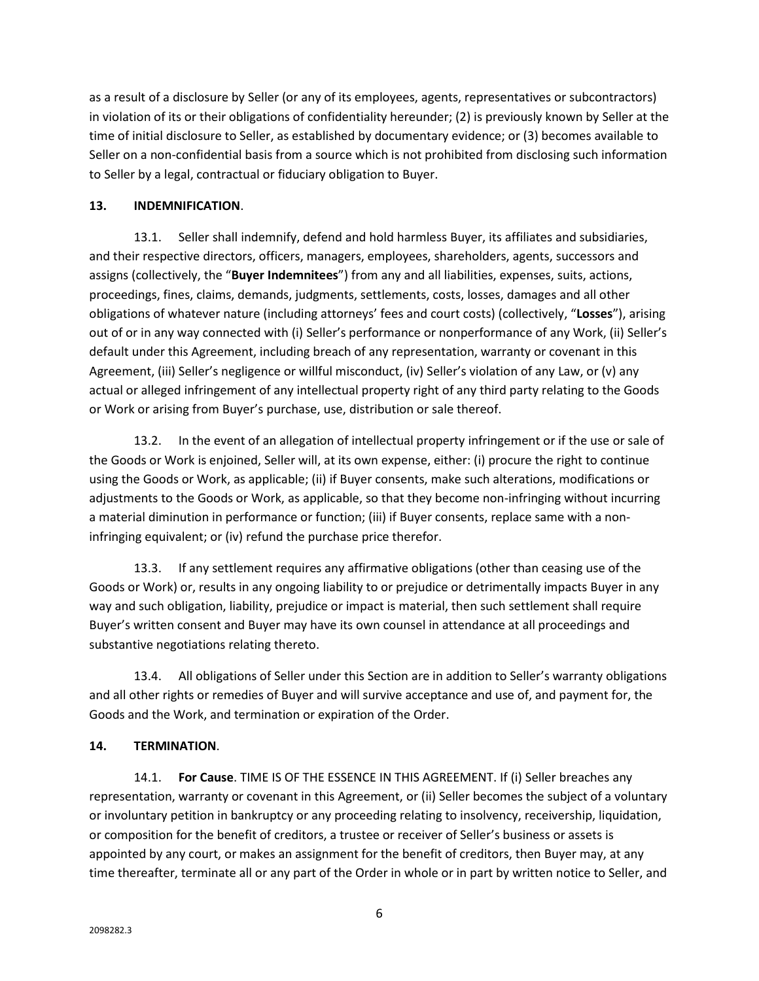as a result of a disclosure by Seller (or any of its employees, agents, representatives or subcontractors) in violation of its or their obligations of confidentiality hereunder; (2) is previously known by Seller at the time of initial disclosure to Seller, as established by documentary evidence; or (3) becomes available to Seller on a non-confidential basis from a source which is not prohibited from disclosing such information to Seller by a legal, contractual or fiduciary obligation to Buyer.

### <span id="page-5-2"></span>**13. INDEMNIFICATION**.

13.1. Seller shall indemnify, defend and hold harmless Buyer, its affiliates and subsidiaries, and their respective directors, officers, managers, employees, shareholders, agents, successors and assigns (collectively, the "**Buyer Indemnitees**") from any and all liabilities, expenses, suits, actions, proceedings, fines, claims, demands, judgments, settlements, costs, losses, damages and all other obligations of whatever nature (including attorneys' fees and court costs) (collectively, "**Losses**"), arising out of or in any way connected with (i) Seller's performance or nonperformance of any Work, (ii) Seller's default under this Agreement, including breach of any representation, warranty or covenant in this Agreement, (iii) Seller's negligence or willful misconduct, (iv) Seller's violation of any Law, or (v) any actual or alleged infringement of any intellectual property right of any third party relating to the Goods or Work or arising from Buyer's purchase, use, distribution or sale thereof.

13.2. In the event of an allegation of intellectual property infringement or if the use or sale of the Goods or Work is enjoined, Seller will, at its own expense, either: (i) procure the right to continue using the Goods or Work, as applicable; (ii) if Buyer consents, make such alterations, modifications or adjustments to the Goods or Work, as applicable, so that they become non-infringing without incurring a material diminution in performance or function; (iii) if Buyer consents, replace same with a noninfringing equivalent; or (iv) refund the purchase price therefor.

13.3. If any settlement requires any affirmative obligations (other than ceasing use of the Goods or Work) or, results in any ongoing liability to or prejudice or detrimentally impacts Buyer in any way and such obligation, liability, prejudice or impact is material, then such settlement shall require Buyer's written consent and Buyer may have its own counsel in attendance at all proceedings and substantive negotiations relating thereto.

13.4. All obligations of Seller under this Section are in addition to Seller's warranty obligations and all other rights or remedies of Buyer and will survive acceptance and use of, and payment for, the Goods and the Work, and termination or expiration of the Order.

## <span id="page-5-1"></span>**14. TERMINATION**.

<span id="page-5-0"></span>14.1. **For Cause**. TIME IS OF THE ESSENCE IN THIS AGREEMENT. If (i) Seller breaches any representation, warranty or covenant in this Agreement, or (ii) Seller becomes the subject of a voluntary or involuntary petition in bankruptcy or any proceeding relating to insolvency, receivership, liquidation, or composition for the benefit of creditors, a trustee or receiver of Seller's business or assets is appointed by any court, or makes an assignment for the benefit of creditors, then Buyer may, at any time thereafter, terminate all or any part of the Order in whole or in part by written notice to Seller, and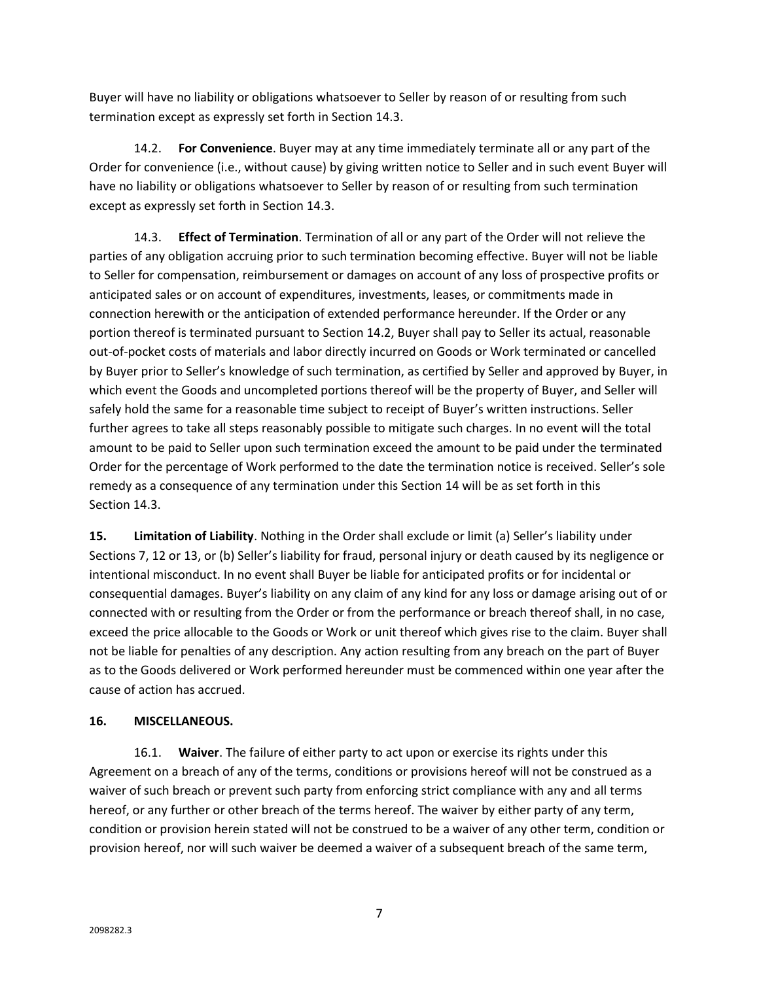Buyer will have no liability or obligations whatsoever to Seller by reason of or resulting from such termination except as expressly set forth in Section [14.3.](#page-6-0)

<span id="page-6-1"></span>14.2. **For Convenience**. Buyer may at any time immediately terminate all or any part of the Order for convenience (i.e., without cause) by giving written notice to Seller and in such event Buyer will have no liability or obligations whatsoever to Seller by reason of or resulting from such termination except as expressly set forth in Sectio[n 14.3.](#page-6-0)

<span id="page-6-0"></span>14.3. **Effect of Termination**. Termination of all or any part of the Order will not relieve the parties of any obligation accruing prior to such termination becoming effective. Buyer will not be liable to Seller for compensation, reimbursement or damages on account of any loss of prospective profits or anticipated sales or on account of expenditures, investments, leases, or commitments made in connection herewith or the anticipation of extended performance hereunder. If the Order or any portion thereof is terminated pursuant to Section [14.2,](#page-6-1) Buyer shall pay to Seller its actual, reasonable out-of-pocket costs of materials and labor directly incurred on Goods or Work terminated or cancelled by Buyer prior to Seller's knowledge of such termination, as certified by Seller and approved by Buyer, in which event the Goods and uncompleted portions thereof will be the property of Buyer, and Seller will safely hold the same for a reasonable time subject to receipt of Buyer's written instructions. Seller further agrees to take all steps reasonably possible to mitigate such charges. In no event will the total amount to be paid to Seller upon such termination exceed the amount to be paid under the terminated Order for the percentage of Work performed to the date the termination notice is received. Seller's sole remedy as a consequence of any termination under this Section [14](#page-5-1) will be as set forth in this Section [14.3.](#page-6-0)

**15. Limitation of Liability**. Nothing in the Order shall exclude or limit (a) Seller's liability under Sections [7,](#page-2-0) [12](#page-4-0) or [13,](#page-5-2) or (b) Seller's liability for fraud, personal injury or death caused by its negligence or intentional misconduct. In no event shall Buyer be liable for anticipated profits or for incidental or consequential damages. Buyer's liability on any claim of any kind for any loss or damage arising out of or connected with or resulting from the Order or from the performance or breach thereof shall, in no case, exceed the price allocable to the Goods or Work or unit thereof which gives rise to the claim. Buyer shall not be liable for penalties of any description. Any action resulting from any breach on the part of Buyer as to the Goods delivered or Work performed hereunder must be commenced within one year after the cause of action has accrued.

## **16. MISCELLANEOUS.**

16.1. **Waiver**. The failure of either party to act upon or exercise its rights under this Agreement on a breach of any of the terms, conditions or provisions hereof will not be construed as a waiver of such breach or prevent such party from enforcing strict compliance with any and all terms hereof, or any further or other breach of the terms hereof. The waiver by either party of any term, condition or provision herein stated will not be construed to be a waiver of any other term, condition or provision hereof, nor will such waiver be deemed a waiver of a subsequent breach of the same term,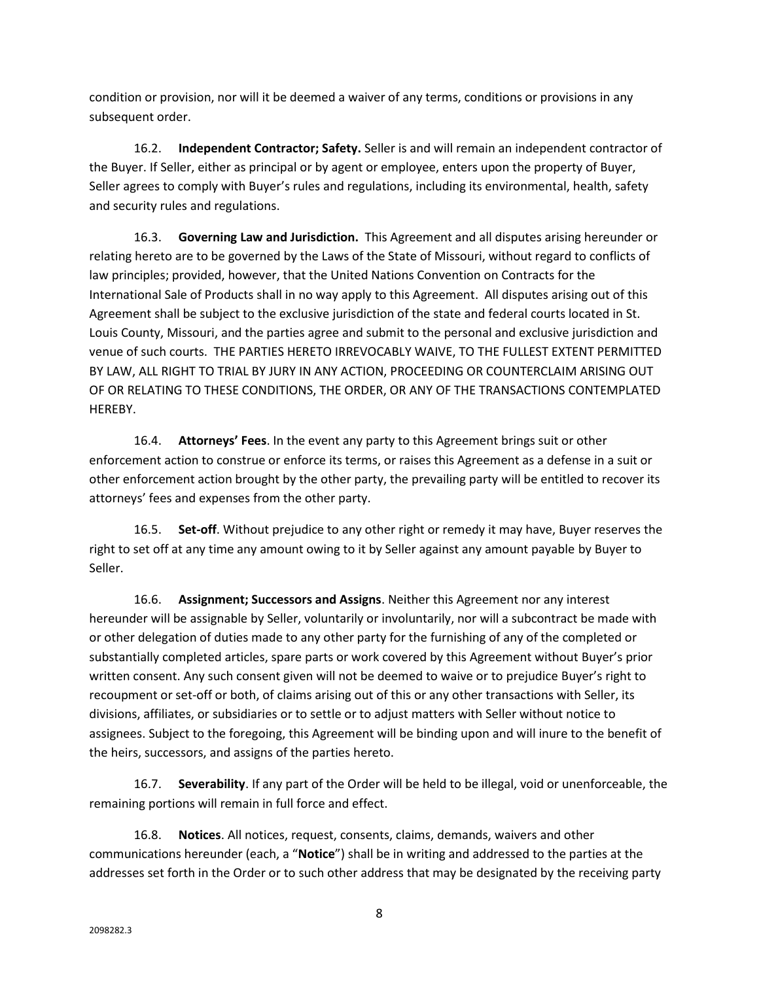condition or provision, nor will it be deemed a waiver of any terms, conditions or provisions in any subsequent order.

16.2. **Independent Contractor; Safety.** Seller is and will remain an independent contractor of the Buyer. If Seller, either as principal or by agent or employee, enters upon the property of Buyer, Seller agrees to comply with Buyer's rules and regulations, including its environmental, health, safety and security rules and regulations.

16.3. **Governing Law and Jurisdiction.** This Agreement and all disputes arising hereunder or relating hereto are to be governed by the Laws of the State of Missouri, without regard to conflicts of law principles; provided, however, that the United Nations Convention on Contracts for the International Sale of Products shall in no way apply to this Agreement. All disputes arising out of this Agreement shall be subject to the exclusive jurisdiction of the state and federal courts located in St. Louis County, Missouri, and the parties agree and submit to the personal and exclusive jurisdiction and venue of such courts. THE PARTIES HERETO IRREVOCABLY WAIVE, TO THE FULLEST EXTENT PERMITTED BY LAW, ALL RIGHT TO TRIAL BY JURY IN ANY ACTION, PROCEEDING OR COUNTERCLAIM ARISING OUT OF OR RELATING TO THESE CONDITIONS, THE ORDER, OR ANY OF THE TRANSACTIONS CONTEMPLATED HEREBY.

16.4. **Attorneys' Fees**. In the event any party to this Agreement brings suit or other enforcement action to construe or enforce its terms, or raises this Agreement as a defense in a suit or other enforcement action brought by the other party, the prevailing party will be entitled to recover its attorneys' fees and expenses from the other party.

16.5. **Set-off**. Without prejudice to any other right or remedy it may have, Buyer reserves the right to set off at any time any amount owing to it by Seller against any amount payable by Buyer to Seller.

16.6. **Assignment; Successors and Assigns**. Neither this Agreement nor any interest hereunder will be assignable by Seller, voluntarily or involuntarily, nor will a subcontract be made with or other delegation of duties made to any other party for the furnishing of any of the completed or substantially completed articles, spare parts or work covered by this Agreement without Buyer's prior written consent. Any such consent given will not be deemed to waive or to prejudice Buyer's right to recoupment or set-off or both, of claims arising out of this or any other transactions with Seller, its divisions, affiliates, or subsidiaries or to settle or to adjust matters with Seller without notice to assignees. Subject to the foregoing, this Agreement will be binding upon and will inure to the benefit of the heirs, successors, and assigns of the parties hereto.

16.7. **Severability**. If any part of the Order will be held to be illegal, void or unenforceable, the remaining portions will remain in full force and effect.

16.8. **Notices**. All notices, request, consents, claims, demands, waivers and other communications hereunder (each, a "**Notice**") shall be in writing and addressed to the parties at the addresses set forth in the Order or to such other address that may be designated by the receiving party

8